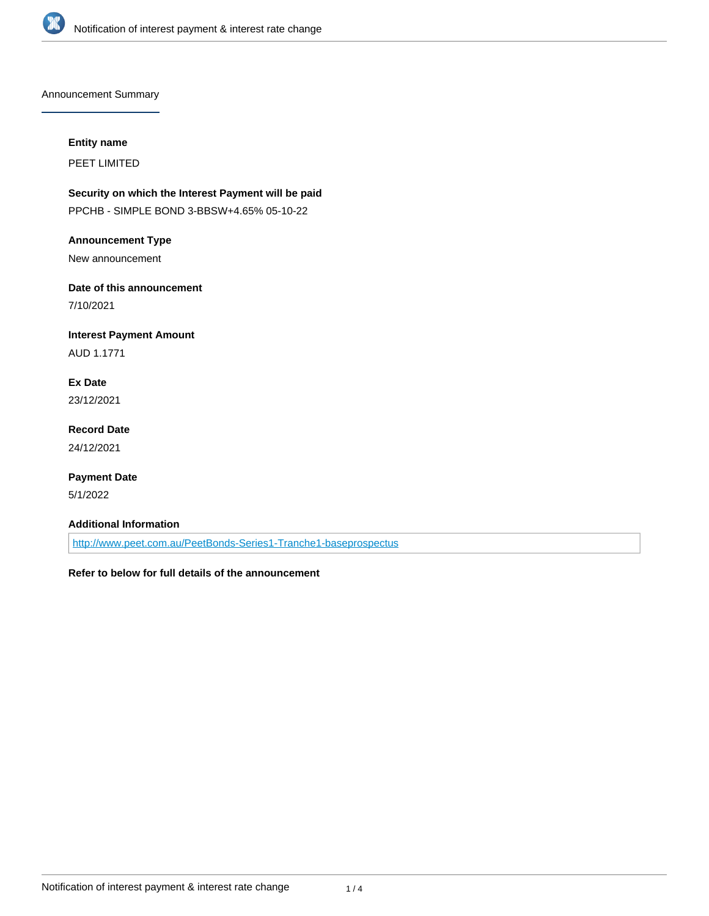

Announcement Summary

#### **Entity name**

PEET LIMITED

# **Security on which the Interest Payment will be paid**

PPCHB - SIMPLE BOND 3-BBSW+4.65% 05-10-22

## **Announcement Type**

New announcement

# **Date of this announcement**

7/10/2021

# **Interest Payment Amount**

AUD 1.1771

# **Ex Date**

23/12/2021

## **Record Date** 24/12/2021

## **Payment Date**

5/1/2022

## **Additional Information**

<http://www.peet.com.au/PeetBonds-Series1-Tranche1-baseprospectus>

# **Refer to below for full details of the announcement**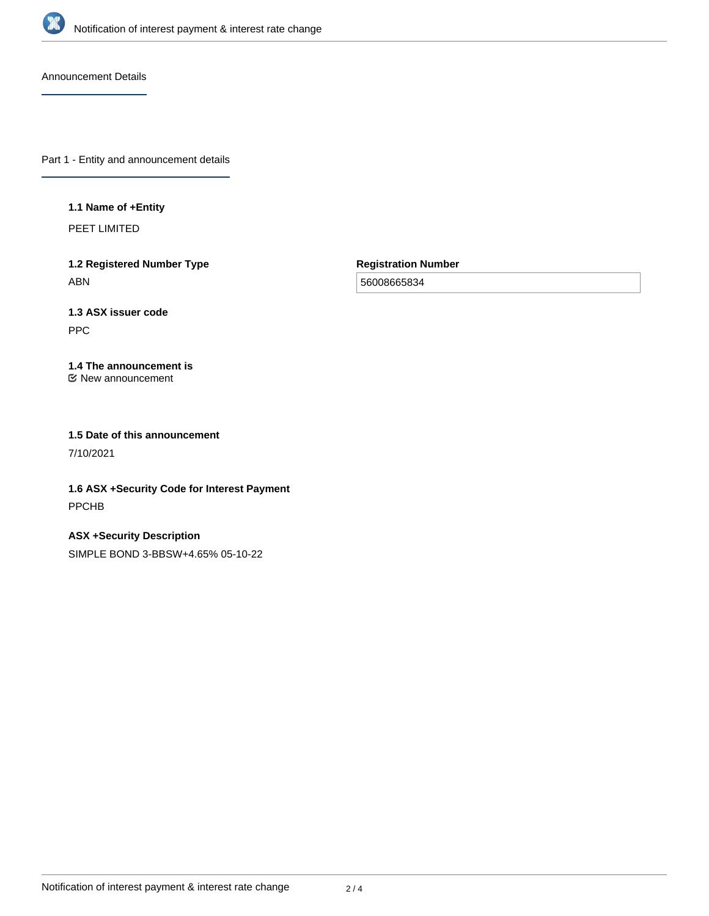

Announcement Details

Part 1 - Entity and announcement details

#### **1.1 Name of +Entity**

PEET LIMITED

**1.2 Registered Number Type** ABN

**Registration Number**

56008665834

# **1.3 ASX issuer code**

PPC

#### **1.4 The announcement is** New announcement

**1.5 Date of this announcement**

7/10/2021

**1.6 ASX +Security Code for Interest Payment** PPCHB

**ASX +Security Description** SIMPLE BOND 3-BBSW+4.65% 05-10-22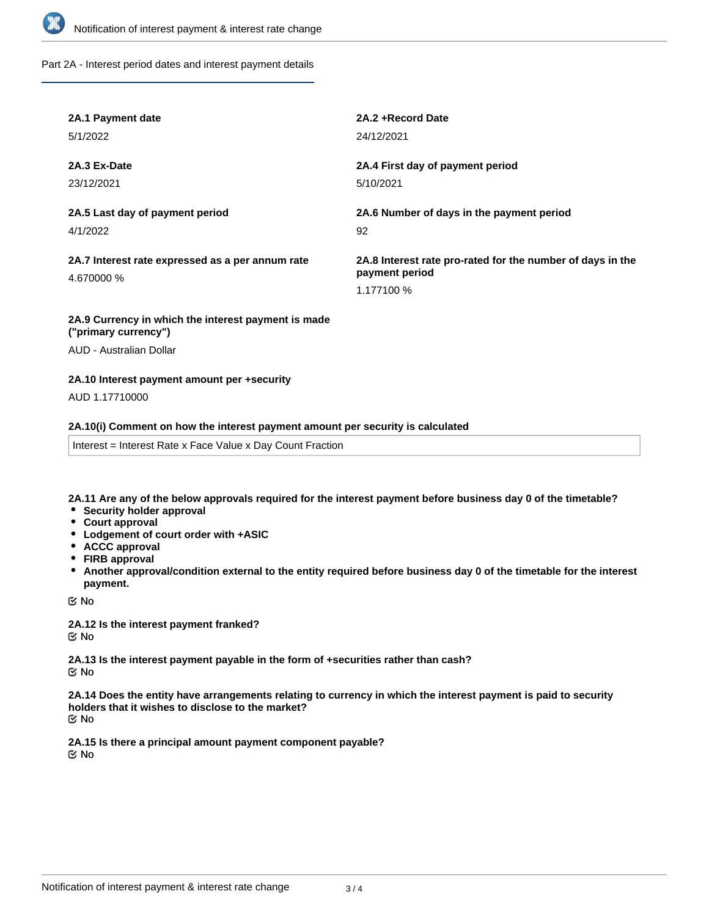

Part 2A - Interest period dates and interest payment details

| 2A.1 Payment date                                              | 2A.2 + Record Date                                                                         |
|----------------------------------------------------------------|--------------------------------------------------------------------------------------------|
| 5/1/2022                                                       | 24/12/2021                                                                                 |
| 2A.3 Ex-Date                                                   | 2A.4 First day of payment period                                                           |
| 23/12/2021                                                     | 5/10/2021                                                                                  |
| 2A.5 Last day of payment period                                | 2A.6 Number of days in the payment period                                                  |
| 4/1/2022                                                       | 92                                                                                         |
| 2A.7 Interest rate expressed as a per annum rate<br>4.670000 % | 2A.8 Interest rate pro-rated for the number of days in the<br>payment period<br>1.177100 % |
| 2A.9 Currency in which the interest payment is made            |                                                                                            |

**("primary currency")**

AUD - Australian Dollar

#### **2A.10 Interest payment amount per +security**

AUD 1.17710000

#### **2A.10(i) Comment on how the interest payment amount per security is calculated**

Interest = Interest Rate x Face Value x Day Count Fraction

**2A.11 Are any of the below approvals required for the interest payment before business day 0 of the timetable?**

- **•** Security holder approval
- **Court approval**
- **Lodgement of court order with +ASIC**
- **ACCC approval**
- **FIRB approval**
- **Another approval/condition external to the entity required before business day 0 of the timetable for the interest payment.**

No

**2A.12 Is the interest payment franked?** No

**2A.13 Is the interest payment payable in the form of +securities rather than cash?** No

**2A.14 Does the entity have arrangements relating to currency in which the interest payment is paid to security holders that it wishes to disclose to the market?** No

**2A.15 Is there a principal amount payment component payable?** No